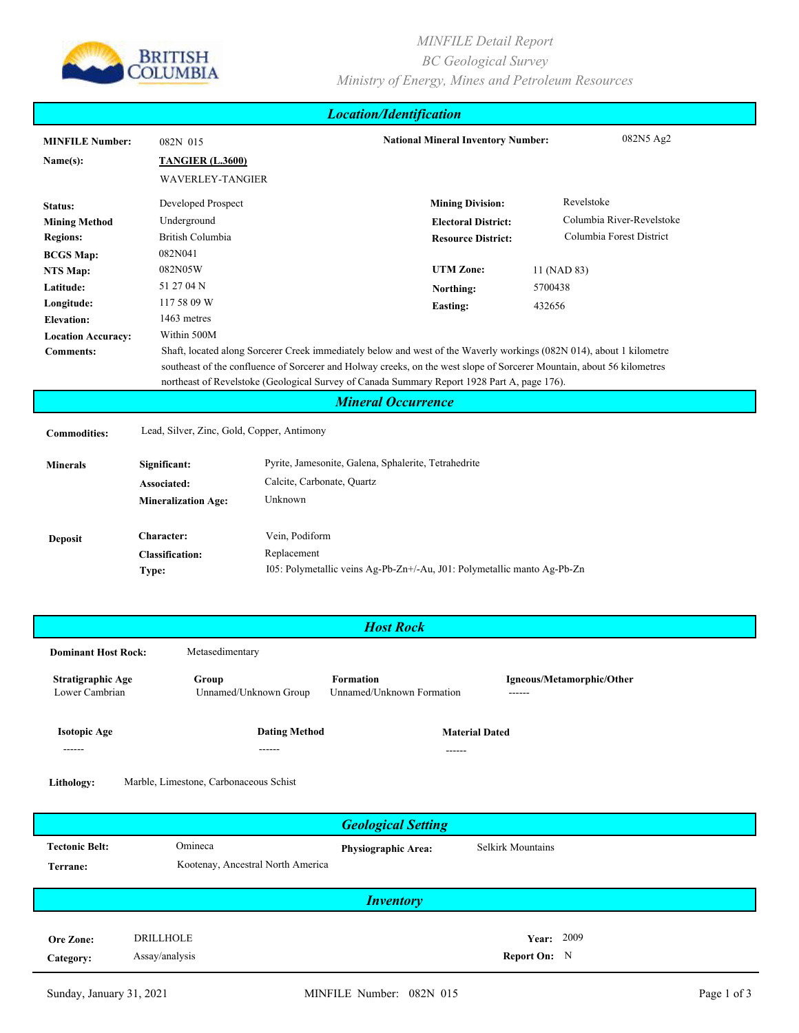

## *MINFILE Detail Report BC Geological Survey Ministry of Energy, Mines and Petroleum Resources*

| <b>Location/Identification</b> |                                                                                                                        |                            |                                                                                                                      |                           |  |  |
|--------------------------------|------------------------------------------------------------------------------------------------------------------------|----------------------------|----------------------------------------------------------------------------------------------------------------------|---------------------------|--|--|
| <b>MINFILE Number:</b>         | 082N 015                                                                                                               |                            | 082N5 Ag2<br><b>National Mineral Inventory Number:</b>                                                               |                           |  |  |
| Name(s):                       | <b>TANGIER (L.3600)</b>                                                                                                |                            |                                                                                                                      |                           |  |  |
|                                | <b>WAVERLEY-TANGIER</b>                                                                                                |                            |                                                                                                                      |                           |  |  |
| Status:                        | Developed Prospect                                                                                                     |                            | <b>Mining Division:</b>                                                                                              | Revelstoke                |  |  |
| <b>Mining Method</b>           | Underground                                                                                                            |                            | <b>Electoral District:</b>                                                                                           | Columbia River-Revelstoke |  |  |
| <b>Regions:</b>                | British Columbia                                                                                                       |                            |                                                                                                                      | Columbia Forest District  |  |  |
| <b>BCGS Map:</b>               | 082N041                                                                                                                |                            | <b>Resource District:</b>                                                                                            |                           |  |  |
| NTS Map:                       | 082N05W                                                                                                                |                            | <b>UTM Zone:</b>                                                                                                     | 11 (NAD 83)               |  |  |
| Latitude:                      | 51 27 04 N                                                                                                             |                            | Northing:                                                                                                            | 5700438                   |  |  |
| Longitude:                     | 117 58 09 W                                                                                                            |                            | <b>Easting:</b>                                                                                                      | 432656                    |  |  |
| <b>Elevation:</b>              | 1463 metres                                                                                                            |                            |                                                                                                                      |                           |  |  |
| <b>Location Accuracy:</b>      | Within 500M                                                                                                            |                            |                                                                                                                      |                           |  |  |
| <b>Comments:</b>               |                                                                                                                        |                            | Shaft, located along Sorcerer Creek immediately below and west of the Waverly workings (082N 014), about 1 kilometre |                           |  |  |
|                                | southeast of the confluence of Sorcerer and Holway creeks, on the west slope of Sorcerer Mountain, about 56 kilometres |                            |                                                                                                                      |                           |  |  |
|                                |                                                                                                                        |                            | northeast of Revelstoke (Geological Survey of Canada Summary Report 1928 Part A, page 176).                          |                           |  |  |
|                                |                                                                                                                        |                            | <b>Mineral Occurrence</b>                                                                                            |                           |  |  |
| <b>Commodities:</b>            | Lead, Silver, Zinc, Gold, Copper, Antimony                                                                             |                            |                                                                                                                      |                           |  |  |
| <b>Minerals</b>                | Significant:                                                                                                           |                            | Pyrite, Jamesonite, Galena, Sphalerite, Tetrahedrite                                                                 |                           |  |  |
|                                | Associated:                                                                                                            | Calcite, Carbonate, Quartz |                                                                                                                      |                           |  |  |
|                                | <b>Mineralization Age:</b>                                                                                             | Unknown                    |                                                                                                                      |                           |  |  |
|                                |                                                                                                                        |                            |                                                                                                                      |                           |  |  |
| <b>Deposit</b>                 | Character:                                                                                                             | Vein, Podiform             |                                                                                                                      |                           |  |  |
|                                | <b>Classification:</b>                                                                                                 | Replacement                |                                                                                                                      |                           |  |  |
|                                | Type:                                                                                                                  |                            | I05: Polymetallic veins Ag-Pb-Zn+/-Au, J01: Polymetallic manto Ag-Pb-Zn                                              |                           |  |  |
|                                |                                                                                                                        |                            |                                                                                                                      |                           |  |  |
|                                |                                                                                                                        |                            |                                                                                                                      |                           |  |  |

| <b>Host Rock</b>                    |                                |                                               |                                     |  |  |
|-------------------------------------|--------------------------------|-----------------------------------------------|-------------------------------------|--|--|
| <b>Dominant Host Rock:</b>          | Metasedimentary                |                                               |                                     |  |  |
| Stratigraphic Age<br>Lower Cambrian | Group<br>Unnamed/Unknown Group | <b>Formation</b><br>Unnamed/Unknown Formation | Igneous/Metamorphic/Other<br>------ |  |  |
| <b>Isotopic Age</b><br>------       | <b>Dating Method</b><br>------ | <b>Material Dated</b><br>------               |                                     |  |  |
|                                     |                                |                                               |                                     |  |  |

**Lithology:** Marble, Limestone, Carbonaceous Schist

| <b>Geological Setting</b>         |                                              |                            |                                            |  |  |
|-----------------------------------|----------------------------------------------|----------------------------|--------------------------------------------|--|--|
| <b>Tectonic Belt:</b><br>Terrane: | Omineca<br>Kootenay, Ancestral North America | <b>Physiographic Area:</b> | Selkirk Mountains                          |  |  |
| <i><b>Inventory</b></i>           |                                              |                            |                                            |  |  |
| Ore Zone:<br>Category:            | <b>DRILLHOLE</b><br>Assay/analysis           |                            | <b>Year: 2009</b><br><b>Report On:</b> $N$ |  |  |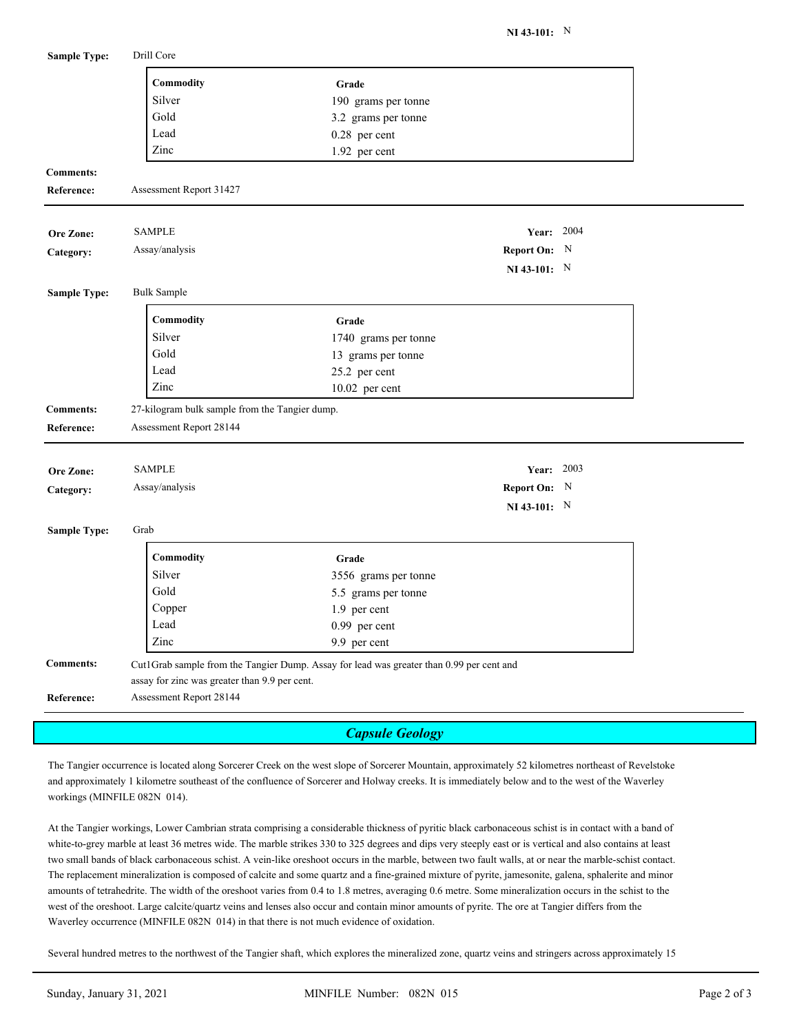| <b>Sample Type:</b> | Drill Core                                                               |                                                                                          |                |  |  |
|---------------------|--------------------------------------------------------------------------|------------------------------------------------------------------------------------------|----------------|--|--|
|                     | Commodity                                                                | Grade                                                                                    |                |  |  |
|                     | Silver                                                                   | 190 grams per tonne                                                                      |                |  |  |
|                     | Gold                                                                     | 3.2 grams per tonne                                                                      |                |  |  |
|                     | Lead                                                                     | 0.28 per cent                                                                            |                |  |  |
|                     | Zinc                                                                     | 1.92 per cent                                                                            |                |  |  |
| <b>Comments:</b>    |                                                                          |                                                                                          |                |  |  |
| Reference:          | Assessment Report 31427                                                  |                                                                                          |                |  |  |
| Ore Zone:           | <b>SAMPLE</b>                                                            |                                                                                          | Year: 2004     |  |  |
| Category:           | Assay/analysis                                                           |                                                                                          | Report On: N   |  |  |
|                     |                                                                          |                                                                                          | NI 43-101: $N$ |  |  |
| <b>Sample Type:</b> | <b>Bulk Sample</b>                                                       |                                                                                          |                |  |  |
|                     | Commodity                                                                | Grade                                                                                    |                |  |  |
|                     | Silver                                                                   | 1740 grams per tonne                                                                     |                |  |  |
|                     | Gold                                                                     | 13 grams per tonne                                                                       |                |  |  |
|                     | Lead                                                                     | 25.2 per cent                                                                            |                |  |  |
|                     | Zinc                                                                     | 10.02 per cent                                                                           |                |  |  |
| <b>Comments:</b>    | 27-kilogram bulk sample from the Tangier dump.                           |                                                                                          |                |  |  |
| <b>Reference:</b>   | Assessment Report 28144                                                  |                                                                                          |                |  |  |
| Ore Zone:           | <b>SAMPLE</b>                                                            |                                                                                          | Year: 2003     |  |  |
| Category:           | Assay/analysis                                                           |                                                                                          | Report On: N   |  |  |
|                     |                                                                          |                                                                                          | NI 43-101: $N$ |  |  |
| <b>Sample Type:</b> | Grab                                                                     |                                                                                          |                |  |  |
|                     | Commodity                                                                | Grade                                                                                    |                |  |  |
|                     | Silver                                                                   | 3556 grams per tonne                                                                     |                |  |  |
|                     | Gold                                                                     | 5.5 grams per tonne                                                                      |                |  |  |
|                     | Copper                                                                   | 1.9 per cent                                                                             |                |  |  |
|                     | Lead                                                                     | 0.99 per cent                                                                            |                |  |  |
|                     | Zinc                                                                     | 9.9 per cent                                                                             |                |  |  |
| <b>Comments:</b>    |                                                                          | Cut1Grab sample from the Tangier Dump. Assay for lead was greater than 0.99 per cent and |                |  |  |
| <b>Reference:</b>   | assay for zinc was greater than 9.9 per cent.<br>Assessment Report 28144 |                                                                                          |                |  |  |
|                     |                                                                          |                                                                                          |                |  |  |

*Capsule Geology*

The Tangier occurrence is located along Sorcerer Creek on the west slope of Sorcerer Mountain, approximately 52 kilometres northeast of Revelstoke and approximately 1 kilometre southeast of the confluence of Sorcerer and Holway creeks. It is immediately below and to the west of the Waverley workings (MINFILE 082N 014).

At the Tangier workings, Lower Cambrian strata comprising a considerable thickness of pyritic black carbonaceous schist is in contact with a band of white-to-grey marble at least 36 metres wide. The marble strikes 330 to 325 degrees and dips very steeply east or is vertical and also contains at least two small bands of black carbonaceous schist. A vein-like oreshoot occurs in the marble, between two fault walls, at or near the marble-schist contact. The replacement mineralization is composed of calcite and some quartz and a fine-grained mixture of pyrite, jamesonite, galena, sphalerite and minor amounts of tetrahedrite. The width of the oreshoot varies from 0.4 to 1.8 metres, averaging 0.6 metre. Some mineralization occurs in the schist to the west of the oreshoot. Large calcite/quartz veins and lenses also occur and contain minor amounts of pyrite. The ore at Tangier differs from the Waverley occurrence (MINFILE 082N 014) in that there is not much evidence of oxidation.

Several hundred metres to the northwest of the Tangier shaft, which explores the mineralized zone, quartz veins and stringers across approximately 15